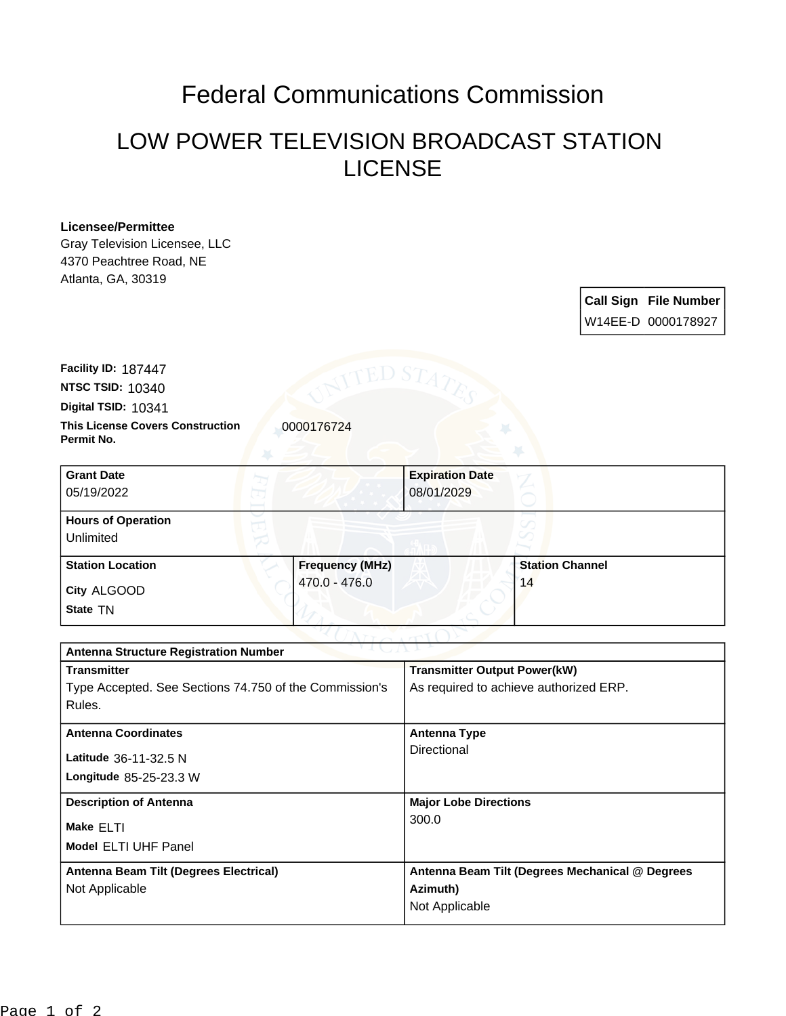# Federal Communications Commission

## LOW POWER TELEVISION BROADCAST STATION LICENSE

#### **Licensee/Permittee**

Gray Television Licensee, LLC 4370 Peachtree Road, NE Atlanta, GA, 30319

### **Call Sign File Number** W14EE-D 0000178927

**This License Covers Construction**  0000176724 **Permit No. Digital TSID:** 10341 **NTSC TSID:** 10340 **Facility ID:** 187447

| <b>Grant Date</b><br>05/19/2022        | <b>Expiration Date</b><br>08/01/2029 |                        |
|----------------------------------------|--------------------------------------|------------------------|
| <b>Hours of Operation</b><br>Unlimited |                                      |                        |
| <b>Station Location</b>                | <b>Frequency (MHz)</b>               | <b>Station Channel</b> |
| City ALGOOD<br>State TN                | 470.0 - 476.0                        | 14                     |

| <b>Antenna Structure Registration Number</b>           |                                                 |  |  |
|--------------------------------------------------------|-------------------------------------------------|--|--|
| <b>Transmitter</b>                                     | <b>Transmitter Output Power(kW)</b>             |  |  |
| Type Accepted. See Sections 74.750 of the Commission's | As required to achieve authorized ERP.          |  |  |
| Rules.                                                 |                                                 |  |  |
| <b>Antenna Coordinates</b>                             | <b>Antenna Type</b>                             |  |  |
| Latitude 36-11-32.5 N                                  | Directional                                     |  |  |
| Longitude 85-25-23.3 W                                 |                                                 |  |  |
| <b>Description of Antenna</b>                          | <b>Major Lobe Directions</b>                    |  |  |
| Make ELTI                                              | 300.0                                           |  |  |
| <b>Model ELTI UHF Panel</b>                            |                                                 |  |  |
| Antenna Beam Tilt (Degrees Electrical)                 | Antenna Beam Tilt (Degrees Mechanical @ Degrees |  |  |
| Not Applicable                                         | Azimuth)                                        |  |  |
|                                                        | Not Applicable                                  |  |  |
|                                                        |                                                 |  |  |